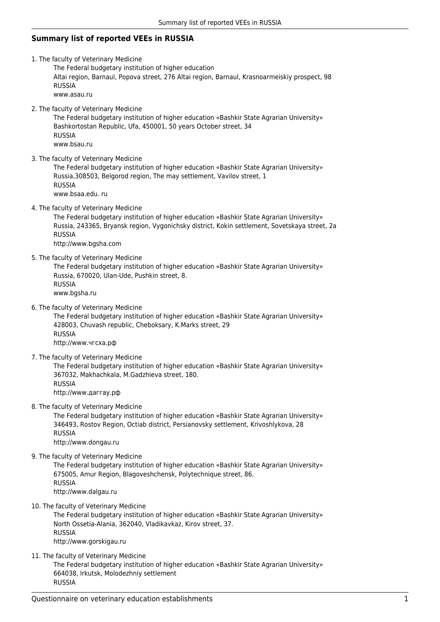## **Summary list of reported VEEs in RUSSIA**

- 1. The faculty of Veterinary Medicine
	- The Federal budgetary institution of higher education

Altai region, Barnaul, Popova street, 276 Altai region, Barnaul, Krasnoarmeiskiy prospect, 98 RUSSIA www.asau.ru

2. The faculty of Veterinary Medicine

The Federal budgetary institution of higher education «Bashkir State Agrarian University» Bashkortostan Republic, Ufa, 450001, 50 years October street, 34 RUSSIA www.bsau.ru

3. The faculty of Veterinary Medicine

The Federal budgetary institution of higher education «Bashkir State Agrarian University» Russia,308503, Belgorod region, The may settlement, Vavilov street, 1 RUSSIA

www.bsaa.edu. ru

4. The faculty of Veterinary Medicine

The Federal budgetary institution of higher education «Bashkir State Agrarian University» Russia, 243365, Bryansk region, Vygonichsky district, Kokin settlement, Sovetskaya street, 2a RUSSIA http://www.bgsha.com

5. The faculty of Veterinary Medicine

The Federal budgetary institution of higher education «Bashkir State Agrarian University» Russia, 670020, Ulan-Ude, Pushkin street, 8. RUSSIA www.bgsha.ru

6. The faculty of Veterinary Medicine

The Federal budgetary institution of higher education «Bashkir State Agrarian University» 428003, Chuvash republic, Cheboksary, K.Marks street, 29 RUSSIA http://www.чгсха.рф

7. The faculty of Veterinary Medicine

The Federal budgetary institution of higher education «Bashkir State Agrarian University» 367032, Makhachkala, M.Gadzhieva street, 180. RUSSIA http://www.даггау.рф

8. The faculty of Veterinary Medicine

The Federal budgetary institution of higher education «Bashkir State Agrarian University» 346493, Rostov Region, Octiab district, Persianovsky settlement, Krivoshlykova, 28 RUSSIA

http://www.dongau.ru

9. The faculty of Veterinary Medicine

The Federal budgetary institution of higher education «Bashkir State Agrarian University» 675005, Amur Region, Blagoveshchensk, Polytechnique street, 86. RUSSIA http://www.dalgau.ru

10. The faculty of Veterinary Medicine

The Federal budgetary institution of higher education «Bashkir State Agrarian University» North Ossetia-Alania, 362040, Vladikavkaz, Kirov street, 37. RUSSIA http://www.gorskigau.ru

11. The faculty of Veterinary Medicine

The Federal budgetary institution of higher education «Bashkir State Agrarian University» 664038, Irkutsk, Molodezhniy settlement RUSSIA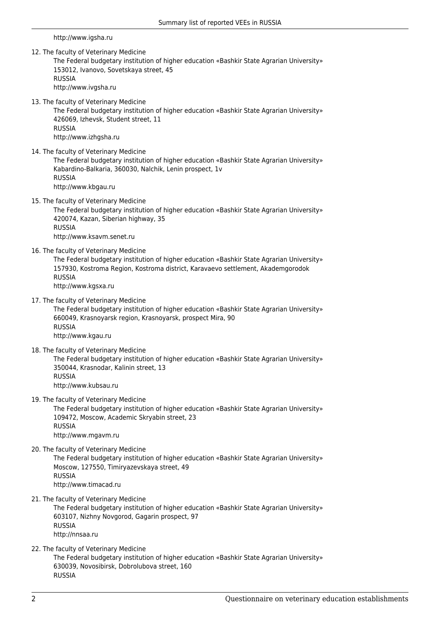http://www.igsha.ru

12. The faculty of Veterinary Medicine

The Federal budgetary institution of higher education «Bashkir State Agrarian University» 153012, Ivanovo, Sovetskaya street, 45 RUSSIA

- http://www.ivgsha.ru
- 13. The faculty of Veterinary Medicine

The Federal budgetary institution of higher education «Bashkir State Agrarian University» 426069, Izhevsk, Student street, 11 RUSSIA http://www.izhgsha.ru

14. The faculty of Veterinary Medicine

The Federal budgetary institution of higher education «Bashkir State Agrarian University» Kabardino-Balkaria, 360030, Nalchik, Lenin prospect, 1v RUSSIA http://www.kbgau.ru

15. The faculty of Veterinary Medicine

The Federal budgetary institution of higher education «Bashkir State Agrarian University» 420074, Kazan, Siberian highway, 35 RUSSIA http://www.ksavm.senet.ru

16. The faculty of Veterinary Medicine

The Federal budgetary institution of higher education «Bashkir State Agrarian University» 157930, Kostroma Region, Kostroma district, Karavaevo settlement, Akademgorodok RUSSIA

http://www.kgsxa.ru

17. The faculty of Veterinary Medicine

The Federal budgetary institution of higher education «Bashkir State Agrarian University» 660049, Krasnoyarsk region, Krasnoyarsk, prospect Mira, 90 RUSSIA http://www.kgau.ru

18. The faculty of Veterinary Medicine

The Federal budgetary institution of higher education «Bashkir State Agrarian University» 350044, Krasnodar, Kalinin street, 13 RUSSIA http://www.kubsau.ru

19. The faculty of Veterinary Medicine

The Federal budgetary institution of higher education «Bashkir State Agrarian University» 109472, Moscow, Academic Skryabin street, 23 RUSSIA http://www.mgavm.ru

20. The faculty of Veterinary Medicine

The Federal budgetary institution of higher education «Bashkir State Agrarian University» Moscow, 127550, Timiryazevskaya street, 49 RUSSIA http://www.timacad.ru

21. The faculty of Veterinary Medicine

The Federal budgetary institution of higher education «Bashkir State Agrarian University» 603107, Nizhny Novgorod, Gagarin prospect, 97 RUSSIA http://nnsaa.ru

22. The faculty of Veterinary Medicine

The Federal budgetary institution of higher education «Bashkir State Agrarian University» 630039, Novosibirsk, Dobrolubova street, 160 RUSSIA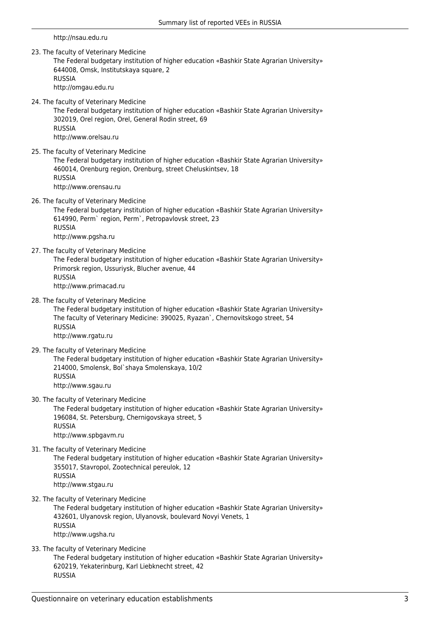http://nsau.edu.ru

23. The faculty of Veterinary Medicine

The Federal budgetary institution of higher education «Bashkir State Agrarian University» 644008, Omsk, Institutskaya square, 2 RUSSIA

- http://omgau.edu.ru
- 24. The faculty of Veterinary Medicine

The Federal budgetary institution of higher education «Bashkir State Agrarian University» 302019, Orel region, Orel, General Rodin street, 69 RUSSIA http://www.orelsau.ru

25. The faculty of Veterinary Medicine

The Federal budgetary institution of higher education «Bashkir State Agrarian University» 460014, Orenburg region, Orenburg, street Cheluskintsev, 18 RUSSIA http://www.orensau.ru

26. The faculty of Veterinary Medicine

The Federal budgetary institution of higher education «Bashkir State Agrarian University» 614990, Perm` region, Perm`, Petropavlovsk street, 23 RUSSIA http://www.pgsha.ru

27. The faculty of Veterinary Medicine

The Federal budgetary institution of higher education «Bashkir State Agrarian University» Primorsk region, Ussuriysk, Blucher avenue, 44 RUSSIA

http://www.primacad.ru

28. The faculty of Veterinary Medicine

The Federal budgetary institution of higher education «Bashkir State Agrarian University» The faculty of Veterinary Medicine: 390025, Ryazan`, Chernovitskogo street, 54 RUSSIA http://www.rgatu.ru

29. The faculty of Veterinary Medicine

The Federal budgetary institution of higher education «Bashkir State Agrarian University» 214000, Smolensk, Bol`shaya Smolenskaya, 10/2 RUSSIA http://www.sgau.ru

30. The faculty of Veterinary Medicine

The Federal budgetary institution of higher education «Bashkir State Agrarian University» 196084, St. Petersburg, Chernigovskaya street, 5 RUSSIA http://www.spbgavm.ru

31. The faculty of Veterinary Medicine

The Federal budgetary institution of higher education «Bashkir State Agrarian University» 355017, Stavropol, Zootechnical pereulok, 12 RUSSIA http://www.stgau.ru

32. The faculty of Veterinary Medicine

The Federal budgetary institution of higher education «Bashkir State Agrarian University» 432601, Ulyanovsk region, Ulyanovsk, boulevard Novyi Venets, 1 RUSSIA http://www.ugsha.ru

33. The faculty of Veterinary Medicine

The Federal budgetary institution of higher education «Bashkir State Agrarian University» 620219, Yekaterinburg, Karl Liebknecht street, 42 RUSSIA